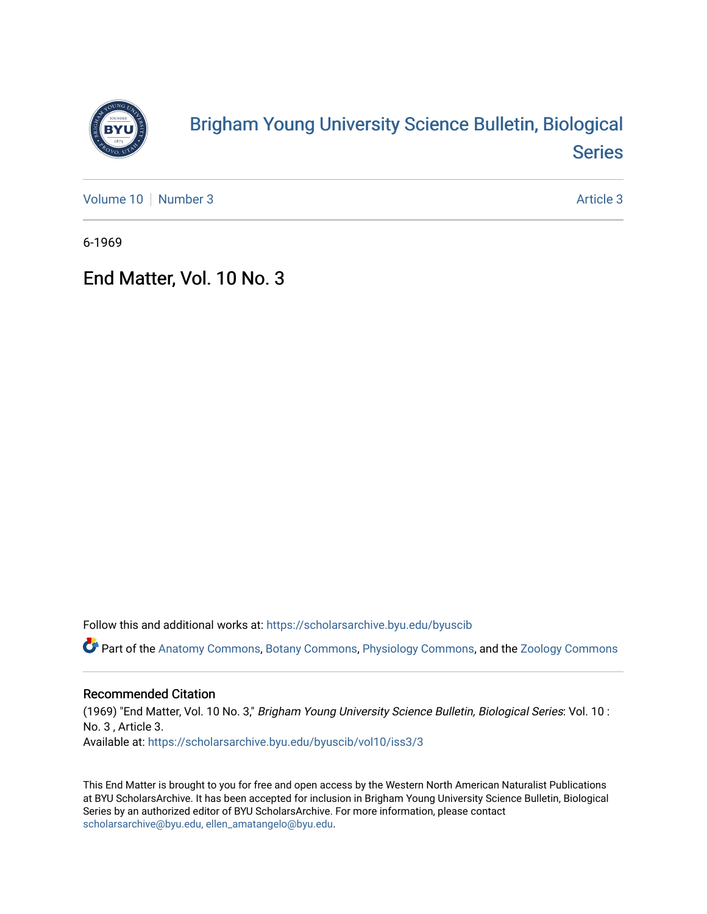

## [Brigham Young University Science Bulletin, Biological](https://scholarsarchive.byu.edu/byuscib)  [Series](https://scholarsarchive.byu.edu/byuscib)

[Volume 10](https://scholarsarchive.byu.edu/byuscib/vol10) [Number 3](https://scholarsarchive.byu.edu/byuscib/vol10/iss3) Article 3

6-1969

## End Matter, Vol. 10 No. 3

Follow this and additional works at: [https://scholarsarchive.byu.edu/byuscib](https://scholarsarchive.byu.edu/byuscib?utm_source=scholarsarchive.byu.edu%2Fbyuscib%2Fvol10%2Fiss3%2F3&utm_medium=PDF&utm_campaign=PDFCoverPages)

Part of the [Anatomy Commons,](http://network.bepress.com/hgg/discipline/903?utm_source=scholarsarchive.byu.edu%2Fbyuscib%2Fvol10%2Fiss3%2F3&utm_medium=PDF&utm_campaign=PDFCoverPages) [Botany Commons,](http://network.bepress.com/hgg/discipline/104?utm_source=scholarsarchive.byu.edu%2Fbyuscib%2Fvol10%2Fiss3%2F3&utm_medium=PDF&utm_campaign=PDFCoverPages) [Physiology Commons,](http://network.bepress.com/hgg/discipline/69?utm_source=scholarsarchive.byu.edu%2Fbyuscib%2Fvol10%2Fiss3%2F3&utm_medium=PDF&utm_campaign=PDFCoverPages) and the [Zoology Commons](http://network.bepress.com/hgg/discipline/81?utm_source=scholarsarchive.byu.edu%2Fbyuscib%2Fvol10%2Fiss3%2F3&utm_medium=PDF&utm_campaign=PDFCoverPages)

## Recommended Citation

(1969) "End Matter, Vol. 10 No. 3," Brigham Young University Science Bulletin, Biological Series: Vol. 10 : No. 3 , Article 3. Available at: [https://scholarsarchive.byu.edu/byuscib/vol10/iss3/3](https://scholarsarchive.byu.edu/byuscib/vol10/iss3/3?utm_source=scholarsarchive.byu.edu%2Fbyuscib%2Fvol10%2Fiss3%2F3&utm_medium=PDF&utm_campaign=PDFCoverPages) 

This End Matter is brought to you for free and open access by the Western North American Naturalist Publications at BYU ScholarsArchive. It has been accepted for inclusion in Brigham Young University Science Bulletin, Biological Series by an authorized editor of BYU ScholarsArchive. For more information, please contact [scholarsarchive@byu.edu, ellen\\_amatangelo@byu.edu](mailto:scholarsarchive@byu.edu,%20ellen_amatangelo@byu.edu).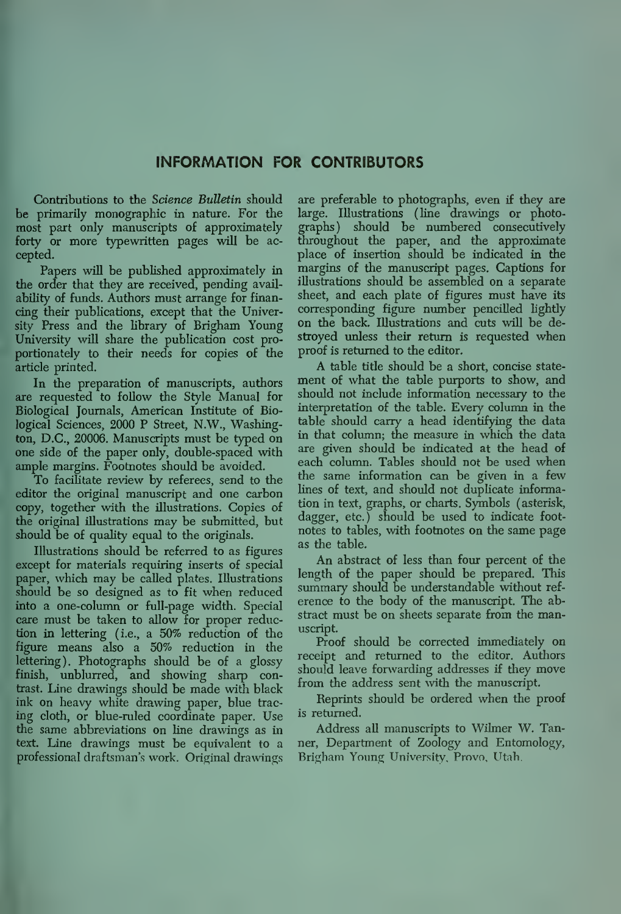## INFORMATION FOR CONTRIBUTORS

Contributions to the Science Bulletin should be primarily monographic in nature. For the most part only manuscripts of approximately forty or more typewritten pages will be ac cepted.

Papers will be published approximately in the order that they are received, pending availability of funds. Authors must arrange for financing their publications, except that the University Press and the library of Brigham Young University wiU share the publication cost proportionately to their needs for copies of the article printed.

In the preparation of manuscripts, authors are requested to follow the Style Manual for Biological Journals, American Institute of Biological Sciences, 2000 P Street, N.W., Washington, D.C., 20006. Manuscripts must be typed on one side of the paper only, double-spaced with ample margins. Footnotes should be avoided.

To facilitate review by referees, send to the editor the original manuscript and one carbon copy, together with the illustrations. Copies of the original illustrations may be submitted, but should be of quality equal to the originals.

Illustrations should be referred to as figures except for materials requiring inserts of special paper, which may be caUed plates. Illustrations should be so designed as to fit when reduced into a one-column or full-page width. Special care must be taken to allow for proper reduction in lettering (i.e., a 50% reduction of the figvire means also a 50% reduction in the lettering). Photographs should be of a glossy finish, unblurred, and showing sharp contrast. Line drawings should be made with black ink on heavy white drawing paper, blue tracing cloth, or blue-ruled coordinate paper. Use the same abbreviations on line drawings as in text. Line drawings must be equivalent to a professional draftsman's work. Original drawings

are preferable to photographs, even if they are large. Illustrations (line drawings or photoshould be numbered consecutively throughout the paper, and the approximate place of insertion should be indicated in the margins of the manuscript pages. Captions for illustrations should be assembled on a separate sheet, and each plate of figures must have its corresponding figure number pencilled hghtly on the back. Illustrations and cuts wall be destroyed unless their return is requested when proof is returned to the editor.

A table tide should be a short, concise state ment of what the table purports to show, and should not include information necessary to the interpretation of the table. Every column in the table should carry a head identifying the data in that column; the measure in which the data are given should be indicated at the head of each column. Tables should not be used when the same information can be given in a few lines of text, and should not duplicate information in text, graphs, or charts. Symbols (asterisk, dagger, etc.) should be used to indicate foot notes to tables, with footnotes on the same page as the table.

An abstract of less than four percent of the length of the paper should be prepared. This summary should be understandable without reference to the body of the manuscript. The abstract must be on sheets separate from the manuscript.

Proof should be corrected immediately on receipt and returned to the editor. Authors should leave forwarding addresses if they move from the address sent with the manuscript.

Reprints should be ordered when the proof is returned.

Address all manuscripts to Wihner W. Tanner, Department of Zoology and Entomology, Brigham Young University, Provo, Utah.